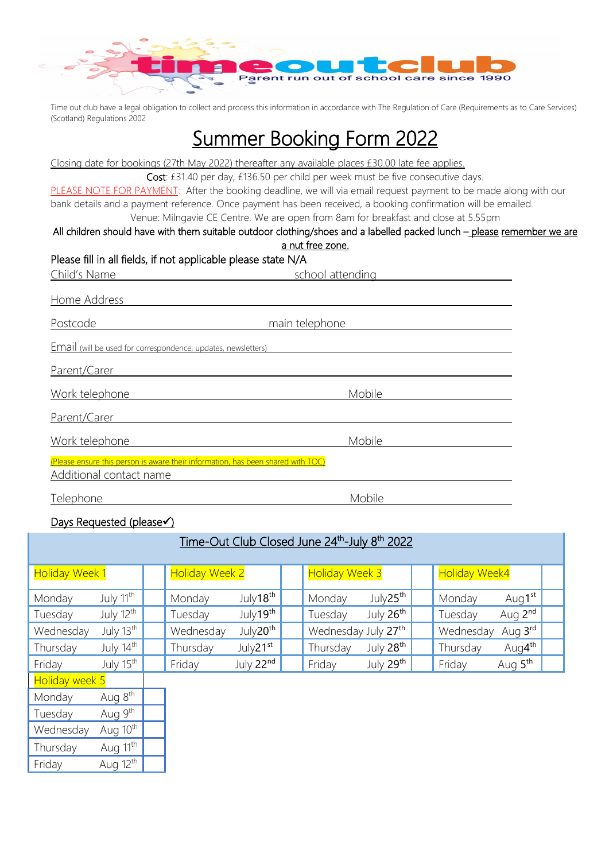

Time out club have a legal obligation to collect and process this information in accordance with The Regulation of Care (Requirements as to Care Services) (Scotland) Regulations 2002

# Summer Booking Form 2022

Closing date for bookings (27th May 2022) thereafter any available places £30.00 late fee applies.

Cost: £31.40 per day, £136.50 per child per week must be five consecutive days.

PLEASE NOTE FOR PAYMENT: After the booking deadline, we will via email request payment to be made along with our bank details and a payment reference. Once payment has been received, a booking confirmation will be emailed.

# Venue: Milngavie CE Centre. We are open from 8am for breakfast and close at 5.55pm

#### All children should have with them suitable outdoor clothing/shoes and a labelled packed lunch – please remember we are a nut free zone.

# Please fill in all fields, if not applicable please state N/A

| Child's Name                                                                                                | school attending |
|-------------------------------------------------------------------------------------------------------------|------------------|
| Home Address                                                                                                |                  |
| Postcode                                                                                                    | main telephone   |
| <b>Email</b> (will be used for correspondence, updates, newsletters)                                        |                  |
| Parent/Carer                                                                                                |                  |
| Work telephone                                                                                              | Mobile           |
| Parent/Carer                                                                                                |                  |
| Work telephone                                                                                              | Mobile           |
| (Please ensure this person is aware their information, has been shared with TOC)<br>Additional contact name |                  |
| Telephone                                                                                                   | Mobile           |

### Days Requested (please

| Time-Out Club Closed June 24th-July 8th 2022 |                       |  |                       |                      |  |                       |                       |                      |                     |  |
|----------------------------------------------|-----------------------|--|-----------------------|----------------------|--|-----------------------|-----------------------|----------------------|---------------------|--|
| <b>Holiday Week 1</b>                        |                       |  | <b>Holiday Week 2</b> |                      |  | <b>Holiday Week 3</b> |                       | <b>Holiday Week4</b> |                     |  |
| Monday                                       | July 11 <sup>th</sup> |  | Monday                | July18 <sup>th</sup> |  | Monday                | July25 <sup>th</sup>  | Monday               | Aug1 <sup>st</sup>  |  |
| Tuesday                                      | July 12th             |  | Tuesday               | July19 <sup>th</sup> |  | Tuesday               | July 26 <sup>th</sup> | Tuesday              | Aug 2 <sup>nd</sup> |  |
| Wednesday                                    | July 13 <sup>th</sup> |  | Wednesday             | July20 <sup>th</sup> |  | Wednesday July 27th   |                       | Wednesday            | Aug 3rd             |  |
| Thursday                                     | July 14th             |  | Thursday              | July21 <sup>st</sup> |  | Thursday              | July 28 <sup>th</sup> | Thursday             | Aug4 <sup>th</sup>  |  |
| Friday                                       | July 15 <sup>th</sup> |  | Friday                | July 22nd            |  | Friday                | July 29th             | Friday               | Aug 5 <sup>th</sup> |  |
| Holiday week 5                               |                       |  |                       |                      |  |                       |                       |                      |                     |  |
| Monday                                       | Aug 8 <sup>th</sup>   |  |                       |                      |  |                       |                       |                      |                     |  |
| Tuesday                                      | Aug 9 <sup>th</sup>   |  |                       |                      |  |                       |                       |                      |                     |  |
| Wednesday                                    | Aug 10 <sup>th</sup>  |  |                       |                      |  |                       |                       |                      |                     |  |
| Thursday                                     | Aug 11 <sup>th</sup>  |  |                       |                      |  |                       |                       |                      |                     |  |
| Friday                                       | Aug 12 <sup>th</sup>  |  |                       |                      |  |                       |                       |                      |                     |  |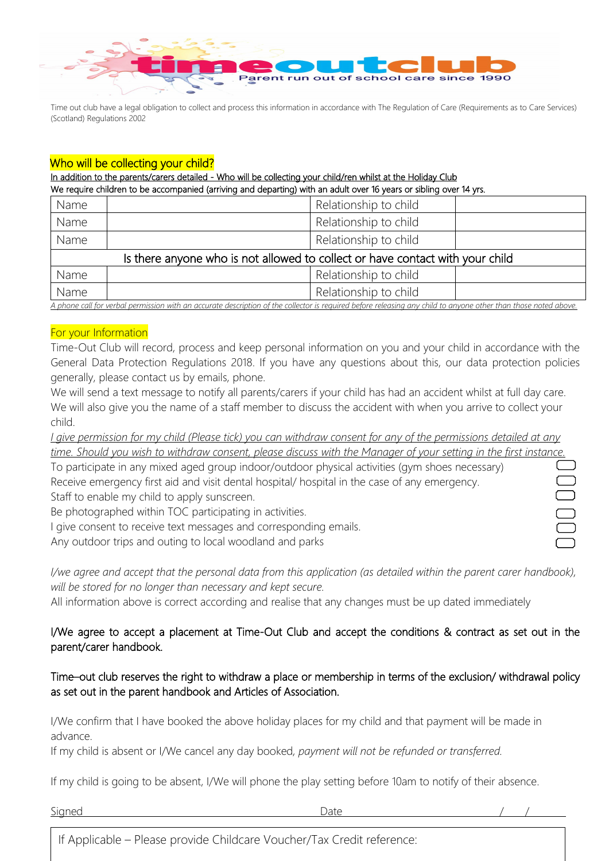

Time out club have a legal obligation to collect and process this information in accordance with The Regulation of Care (Requirements as to Care Services) (Scotland) Regulations 2002

### Who will be collecting your child?

#### In addition to the parents/carers detailed - Who will be collecting your child/ren whilst at the Holiday Club

We require children to be accompanied (arriving and departing) with an adult over 16 years or sibling over 14 yrs.

| Name                                                                          | Relationship to child |  |  |  |  |
|-------------------------------------------------------------------------------|-----------------------|--|--|--|--|
| Name                                                                          | Relationship to child |  |  |  |  |
| Name                                                                          | Relationship to child |  |  |  |  |
| Is there anyone who is not allowed to collect or have contact with your child |                       |  |  |  |  |
| Name                                                                          | Relationship to child |  |  |  |  |
| Name                                                                          | Relationship to child |  |  |  |  |

*A phone call for verbal permission with an accurate description of the collector is required before releasing any child to anyone other than those noted above.*

#### For your Information

Time-Out Club will record, process and keep personal information on you and your child in accordance with the General Data Protection Regulations 2018. If you have any questions about this, our data protection policies generally, please contact us by emails, phone.

We will send a text message to notify all parents/carers if your child has had an accident whilst at full day care. We will also give you the name of a staff member to discuss the accident with when you arrive to collect your child.

*I give permission for my child (Please tick) you can withdraw consent for any of the permissions detailed at any time. Should you wish to withdraw consent, please discuss with the Manager of your setting in the first instance.*

| To participate in any mixed aged group indoor/outdoor physical activities (gym shoes necessary) |  |
|-------------------------------------------------------------------------------------------------|--|
| Receive emergency first aid and visit dental hospital/ hospital in the case of any emergency.   |  |
| Staff to enable my child to apply sunscreen.                                                    |  |
| Be photographed within TOC participating in activities.                                         |  |
| I give consent to receive text messages and corresponding emails.                               |  |
| Any outdoor trips and outing to local woodland and parks                                        |  |

*I/we agree and accept that the personal data from this application (as detailed within the parent carer handbook), will be stored for no longer than necessary and kept secure.*

All information above is correct according and realise that any changes must be up dated immediately

# I/We agree to accept a placement at Time-Out Club and accept the conditions & contract as set out in the parent/carer handbook.

# Time–out club reserves the right to withdraw a place or membership in terms of the exclusion/ withdrawal policy as set out in the parent handbook and Articles of Association.

I/We confirm that I have booked the above holiday places for my child and that payment will be made in advance.

If my child is absent or I/We cancel any day booked*, payment will not be refunded or transferred.*

If my child is going to be absent, I/We will phone the play setting before 10am to notify of their absence.

Signed Date / /

 $\overline{a}$ 

If Applicable – Please provide Childcare Voucher/Tax Credit reference: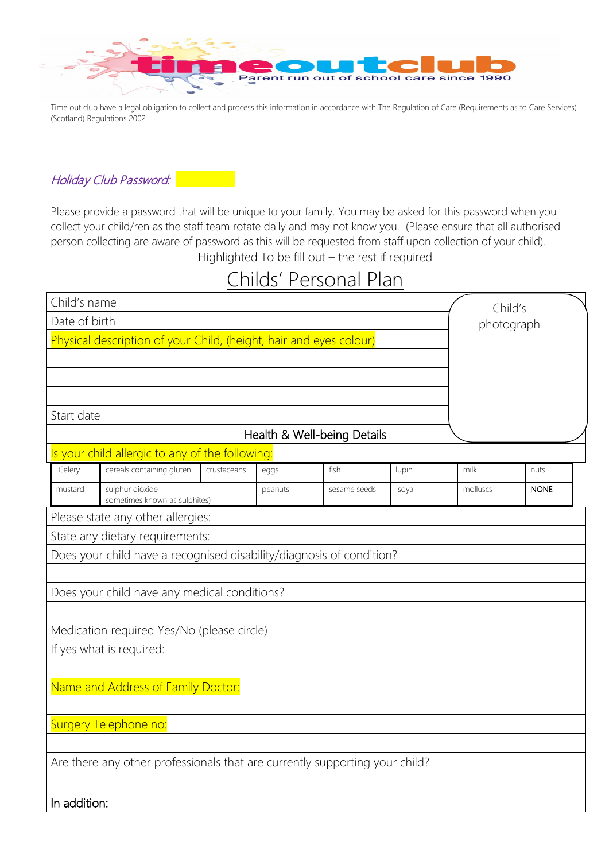

Time out club have a legal obligation to collect and process this information in accordance with The Regulation of Care (Requirements as to Care Services) (Scotland) Regulations 2002

Holiday Club Password:

Please provide a password that will be unique to your family. You may be asked for this password when you collect your child/ren as the staff team rotate daily and may not know you. (Please ensure that all authorised person collecting are aware of password as this will be requested from staff upon collection of your child). Highlighted To be fill out - the rest if required

# Childs' Personal Plan

| Child's name  |                                                                             |             |         |                             |       | Child's    |             |  |
|---------------|-----------------------------------------------------------------------------|-------------|---------|-----------------------------|-------|------------|-------------|--|
| Date of birth |                                                                             |             |         |                             |       | photograph |             |  |
|               | Physical description of your Child, (height, hair and eyes colour)          |             |         |                             |       |            |             |  |
|               |                                                                             |             |         |                             |       |            |             |  |
|               |                                                                             |             |         |                             |       |            |             |  |
|               |                                                                             |             |         |                             |       |            |             |  |
| Start date    |                                                                             |             |         | Health & Well-being Details |       |            |             |  |
|               | Is your child allergic to any of the following:                             |             |         |                             |       |            |             |  |
| Celery        | cereals containing gluten                                                   | crustaceans | eggs    | fish                        | lupin | milk       | nuts        |  |
| mustard       | sulphur dioxide<br>sometimes known as sulphites)                            |             | peanuts | sesame seeds                | soya  | molluscs   | <b>NONE</b> |  |
|               | Please state any other allergies:                                           |             |         |                             |       |            |             |  |
|               | State any dietary requirements:                                             |             |         |                             |       |            |             |  |
|               | Does your child have a recognised disability/diagnosis of condition?        |             |         |                             |       |            |             |  |
|               | Does your child have any medical conditions?                                |             |         |                             |       |            |             |  |
|               |                                                                             |             |         |                             |       |            |             |  |
|               | Medication required Yes/No (please circle)                                  |             |         |                             |       |            |             |  |
|               | If yes what is required:                                                    |             |         |                             |       |            |             |  |
|               |                                                                             |             |         |                             |       |            |             |  |
|               | Name and Address of Family Doctor:                                          |             |         |                             |       |            |             |  |
|               |                                                                             |             |         |                             |       |            |             |  |
|               | Surgery Telephone no:                                                       |             |         |                             |       |            |             |  |
|               | Are there any other professionals that are currently supporting your child? |             |         |                             |       |            |             |  |
|               |                                                                             |             |         |                             |       |            |             |  |
| In addition:  |                                                                             |             |         |                             |       |            |             |  |